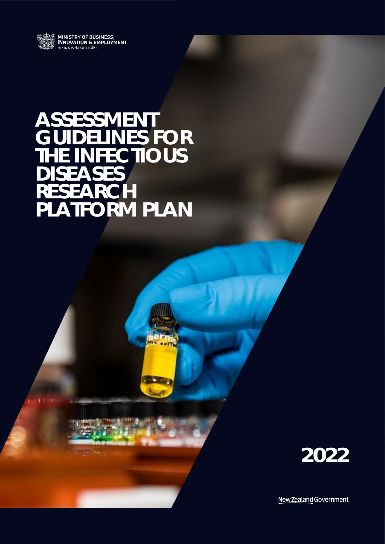

# **ASSESSMENT GUIDELINES FOR THE INFECTIOUS DISEASES RESEARCH PLATFORM PLAN**



New Zealand Government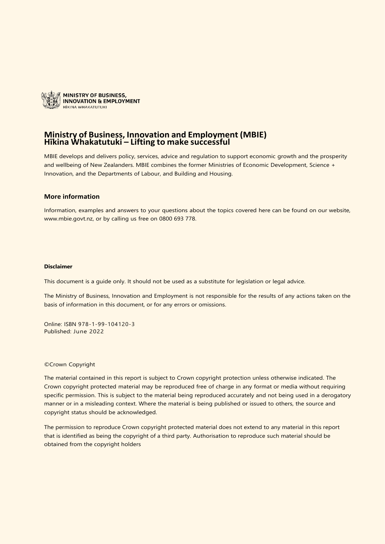

#### **Ministry of Business, Innovation and Employment (MBIE) Hīkina Whakatutuki – Lifting to make successful**

MBIE develops and delivers policy, services, advice and regulation to support economic growth and the prosperity and wellbeing of New Zealanders. MBIE combines the former Ministries of Economic Development, Science + Innovation, and the Departments of Labour, and Building and Housing.

#### **More information**

Information, examples and answers to your questions about the topics covered here can be found on our website, [www.mbie.govt.nz,](http://www.mbie.govt.nz/) or by calling us free on 0800 693 778.

#### **Disclaimer**

This document is a guide only. It should not be used as a substitute for legislation or legal advice.

The Ministry of Business, Innovation and Employment is not responsible for the results of any actions taken on the basis of information in this document, or for any errors or omissions.

Online: ISBN 978-1-99-104120-3 Published: June 2022

#### ©Crown Copyright

The material contained in this report is subject to Crown copyright protection unless otherwise indicated. The Crown copyright protected material may be reproduced free of charge in any format or media without requiring specific permission. This is subject to the material being reproduced accurately and not being used in a derogatory manner or in a misleading context. Where the material is being published or issued to others, the source and copyright status should be acknowledged.

The permission to reproduce Crown copyright protected material does not extend to any material in this report that is identified as being the copyright of a third party. Authorisation to reproduce such material should be obtained from the copyright holders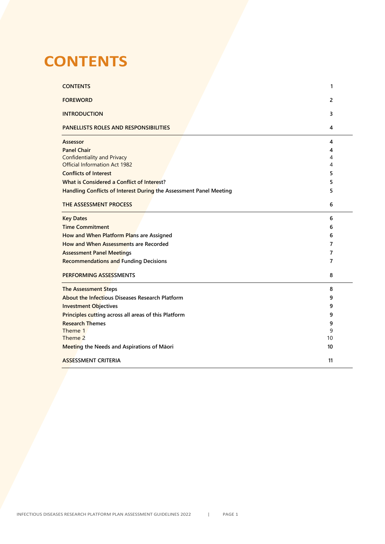## <span id="page-2-0"></span>**CONTENTS**

| <b>CONTENTS</b>                                                    | 1              |  |
|--------------------------------------------------------------------|----------------|--|
| <b>FOREWORD</b>                                                    | $\overline{2}$ |  |
| <b>INTRODUCTION</b>                                                | 3              |  |
| PANELLISTS ROLES AND RESPONSIBILITIES                              | 4              |  |
| Assessor                                                           | 4              |  |
| <b>Panel Chair</b>                                                 | 4              |  |
| <b>Confidentiality and Privacy</b>                                 | 4              |  |
| Official Information Act 1982                                      | 4              |  |
| <b>Conflicts of Interest</b>                                       | 5              |  |
| What is Considered a Conflict of Interest?                         | 5              |  |
| Handling Conflicts of Interest During the Assessment Panel Meeting | 5              |  |
|                                                                    |                |  |
| THE ASSESSMENT PROCESS                                             | 6              |  |
| <b>Key Dates</b>                                                   | 6              |  |
| <b>Time Commitment</b>                                             | 6              |  |
| How and When Platform Plans are Assigned                           | 6              |  |
| How and When Assessments are Recorded                              | 7              |  |
| <b>Assessment Panel Meetings</b>                                   | 7              |  |
| <b>Recommendations and Funding Decisions</b>                       | 7              |  |
|                                                                    |                |  |
| PERFORMING ASSESSMENTS                                             | 8              |  |
| <b>The Assessment Steps</b>                                        | 8              |  |
| <b>About the Infectious Diseases Research Platform</b>             | 9              |  |
| <b>Investment Objectives</b>                                       | 9              |  |
| Principles cutting across all areas of this Platform               | 9              |  |
| <b>Research Themes</b>                                             | 9              |  |
| Theme 1                                                            | 9              |  |
| Theme 2                                                            | 10             |  |
| <b>Meeting the Needs and Aspirations of Māori</b>                  | 10             |  |
|                                                                    |                |  |
| <b>ASSESSMENT CRITERIA</b>                                         | 11             |  |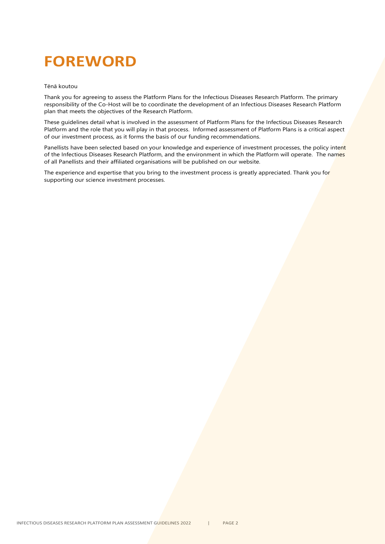# <span id="page-3-0"></span>**FOREWORD**

#### Tēnā koutou

Thank you for agreeing to assess the Platform Plans for the Infectious Diseases Research Platform. The primary responsibility of the Co-Host will be to coordinate the development of an Infectious Diseases Research Platform plan that meets the objectives of the Research Platform.

These guidelines detail what is involved in the assessment of Platform Plans for the Infectious Diseases Research Platform and the role that you will play in that process. Informed assessment of Platform Plans is a critical aspect of our investment process, as it forms the basis of our funding recommendations.

Panellists have been selected based on your knowledge and experience of investment processes, the policy intent of the Infectious Diseases Research Platform, and the environment in which the Platform will operate. The names of all Panellists and their affiliated organisations will be published on our website.

The experience and expertise that you bring to the investment process is greatly appreciated. Thank you for supporting our science investment processes.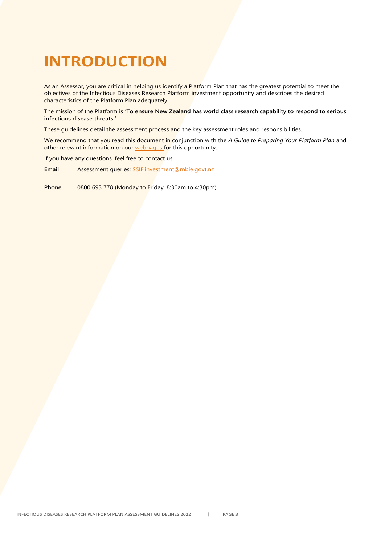## <span id="page-4-0"></span>**INTRODUCTION**

As an Assessor, you are critical in helping us identify a Platform Plan that has the greatest potential to meet the objectives of the Infectious Diseases Research Platform investment opportunity and describes the desired characteristics of the Platform Plan adequately.

The mission of the Platform is **'To ensure New Zealand has world class research capability to respond to serious infectious disease threats.'**

These guidelines detail the assessment process and the key assessment roles and responsibilities.

We recommend that you read this document in conjunction with the *A Guide to Preparing Your Platform Plan* and other relevant information on our [webpages](https://www.mbie.govt.nz/science-and-technology/science-and-innovation/funding-information-and-opportunities/investment-funds/strategic-science-investment-fund/ssif-funded-programmes/infectious-diseases) for this opportunity.

If you have any questions, feel free to contact us.

**Email** Assessment queries: [SSIF.investment@mbie.govt.nz](mailto:SSIF.investment@mbie.govt.nz)

**Phone** 0800 693 778 (Monday to Friday, 8:30am to 4:30pm)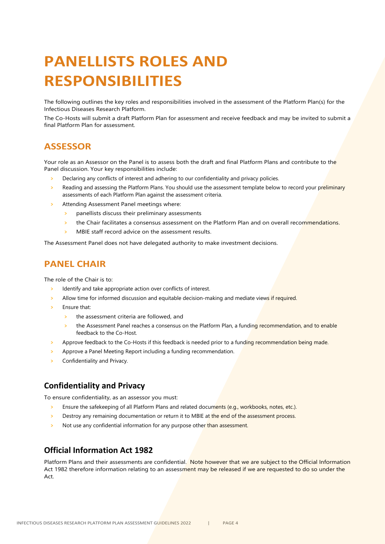# <span id="page-5-0"></span>**PANELLISTS ROLES AND RESPONSIBILITIES**

The following outlines the key roles and responsibilities involved in the assessment of the Platform Plan(s) for the Infectious Diseases Research Platform.

The Co-Hosts will submit a draft Platform Plan for assessment and receive feedback and may be invited to submit a final Platform Plan for assessment.

#### <span id="page-5-1"></span>**ASSESSOR**

Your role as an Assessor on the Panel is to assess both the draft and final Platform Plans and contribute to the Panel discussion. Your key responsibilities include:

- **>** Declaring any conflicts of interest and adhering to our confidentiality and privacy policies.
- **>** Reading and assessing the Platform Plans. You should use the assessment template below to record your preliminary assessments of each Platform Plan against the assessment criteria.
- **>** Attending Assessment Panel meetings where:
	- **>** panellists discuss their preliminary assessments
	- **>** the Chair facilitates a consensus assessment on the Platform Plan and on overall recommendations.
	- **>** MBIE staff record advice on the assessment results.

<span id="page-5-2"></span>The Assessment Panel does not have delegated authority to make investment decisions.

#### **PANEL CHAIR**

The role of the Chair is to:

- **>** Identify and take appropriate action over conflicts of interest.
- **>** Allow time for informed discussion and equitable decision-making and mediate views if required.
- **>** Ensure that:
	- **>** the assessment criteria are followed, and
	- **>** the Assessment Panel reaches a consensus on the Platform Plan, a funding recommendation, and to enable feedback to the Co-Host.
- **>** Approve feedback to the Co-Hosts if this feedback is needed prior to a funding recommendation being made.
- **>** Approve a Panel Meeting Report including a funding recommendation.
- **>** Confidentiality and Privacy.

#### <span id="page-5-3"></span>**Confidentiality and Privacy**

To ensure confidentiality, as an assessor you must:

- **>** Ensure the safekeeping of all Platform Plans and related documents (e.g., workbooks, notes, etc.).
- **>** Destroy any remaining documentation or return it to MBIE at the end of the assessment process.
- Not use any confidential information for any purpose other than assessment.

#### <span id="page-5-4"></span>**Official Information Act 1982**

Platform Plans and their assessments are confidential. Note however that we are subject to the Official Information Act 1982 therefore information relating to an assessment may be released if we are requested to do so under the Act.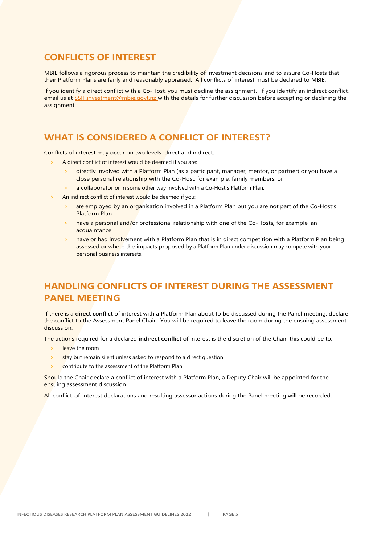#### <span id="page-6-0"></span>**CONFLICTS OF INTEREST**

MBIE follows a rigorous process to maintain the credibility of investment decisions and to assure Co-Hosts that their Platform Plans are fairly and reasonably appraised. All conflicts of interest must be declared to MBIE.

If you identify a direct conflict with a Co-Host, you must decline the assignment. If you identify an indirect conflict, email us at [SSIF.investment@mbie.govt.nz](mailto:SSIF.investment@mbie.govt.nz) with the details for further discussion before accepting or declining the assignment.

#### <span id="page-6-1"></span>**WHAT IS CONSIDERED A CONFLICT OF INTEREST?**

Conflicts of interest may occur on two levels: direct and indirect.

- **>** A direct conflict of interest would be deemed if you are:
	- **>** directly involved with a Platform Plan (as a participant, manager, mentor, or partner) or you have a close personal relationship with the Co-Host, for example, family members, or
	- **>** a collaborator or in some other way involved with a Co-Host's Platform Plan.
- **>** An indirect conflict of interest would be deemed if you:
	- **>** are employed by an organisation involved in a Platform Plan but you are not part of the Co-Host's Platform Plan
	- **>** have a personal and/or professional relationship with one of the Co-Hosts, for example, an acquaintance
	- **>** have or had involvement with a Platform Plan that is in direct competition with a Platform Plan being assessed or where the impacts proposed by a Platform Plan under discussion may compete with your personal business interests.

## <span id="page-6-2"></span>**HANDLING CONFLICTS OF INTEREST DURING THE ASSESSMENT PANEL MEETING**

If there is a **direct conflict** of interest with a Platform Plan about to be discussed during the Panel meeting, declare the conflict to the Assessment Panel Chair. You will be required to leave the room during the ensuing assessment discussion.

The actions required for a declared **indirect conflict** of interest is the discretion of the Chair; this could be to:

- **>** leave the room
- **>** stay but remain silent unless asked to respond to a direct question
- **>** contribute to the assessment of the Platform Plan.

Should the Chair declare a conflict of interest with a Platform Plan, a Deputy Chair will be appointed for the ensuing assessment discussion.

All conflict-of-interest declarations and resulting assessor actions during the Panel meeting will be recorded.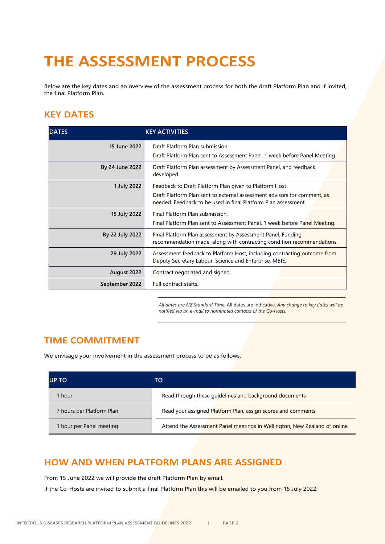# <span id="page-7-0"></span>**THE ASSESSMENT PROCESS**

Below are the key dates and an overview of the assessment process for both the draft Platform Plan and if invited, the final Platform Plan.

## <span id="page-7-1"></span>**KEY DATES**

| <b>DATES</b>    | <b>KEY ACTIVITIES</b>                                                                                                                      |  |  |
|-----------------|--------------------------------------------------------------------------------------------------------------------------------------------|--|--|
| 15 June 2022    | Draft Platform Plan submission.                                                                                                            |  |  |
|                 | Draft Platform Plan sent to Assessment Panel, 1 week before Panel Meeting                                                                  |  |  |
| By 24 June 2022 | Draft Platform Plan assessment by Assessment Panel, and feedback<br>developed.                                                             |  |  |
| 1 July 2022     | Feedback to Draft Platform Plan given to Platform Host.                                                                                    |  |  |
|                 | Draft Platform Plan sent to external assessment advisors for comment, as<br>needed. Feedback to be used in final Platform Plan assessment. |  |  |
| 15 July 2022    | Final Platform Plan submission.                                                                                                            |  |  |
|                 | Final Platform Plan sent to Assessment Panel, 1 week before Panel Meeting.                                                                 |  |  |
| By 22 July 2022 | Final Platform Plan assessment by Assessment Panel. Funding<br>recommendation made, along with contracting condition recommendations.      |  |  |
| 29 July 2022    | Assessment feedback to Platform Host, including contracting outcome from<br>Deputy Secretary Labour, Science and Enterprise, MBIE.         |  |  |
| August 2022     | Contract negotiated and signed.                                                                                                            |  |  |
| September 2022  | Full contract starts.                                                                                                                      |  |  |

*All dates are NZ Standard Time.* All dates are indicative. *Any change to key dates will be notified via an e-mail to nominated contacts of the Co-Hosts.*

#### <span id="page-7-2"></span>**TIME COMMITMENT**

We envisage your involvement in the assessment process to be as follows.

| <b>UP TO</b>              | TO                                                                        |
|---------------------------|---------------------------------------------------------------------------|
| 1 hour                    | Read through these guidelines and background documents                    |
| 7 hours per Platform Plan | Read your assigned Platform Plan, assign scores and comments              |
| 1 hour per Panel meeting  | Attend the Assessment Panel meetings in Wellington, New Zealand or online |

#### <span id="page-7-3"></span>**HOW AND WHEN PLATFORM PLANS ARE ASSIGNED**

From 15 June 2022 we will provide the draft Platform Plan by email.

If the Co-Hosts are invited to submit a final Platform Plan this will be emailed to you from 15 July 2022.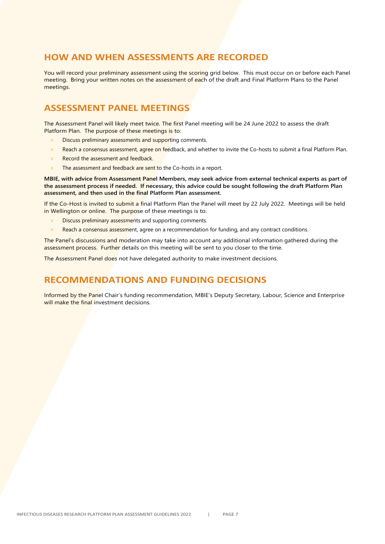#### <span id="page-8-0"></span>**HOW AND WHEN ASSESSMENTS ARE RECORDED**

You will record your preliminary assessment using the scoring grid below. This must occur on or before each Panel meeting. Bring your written notes on the assessment of each of the draft and Final Platform Plans to the Panel meetings.

#### <span id="page-8-1"></span>**ASSESSMENT PANEL MEETINGS**

The Assessment Panel will likely meet twice. The first Panel meeting will be 24 June 2022 to assess the draft Platform Plan. The purpose of these meetings is to:

- **>** Discuss preliminary assessments and supporting comments.
- **>** Reach a consensus assessment, agree on feedback, and whether to invite the Co-hosts to submit a final Platform Plan.
- **>** Record the assessment and feedback.
- **>** The assessment and feedback are sent to the Co-hosts in a report.

**MBIE, with advice from Assessment Panel Members, may seek advice from external technical experts as part of the assessment process if needed. If necessary, this advice could be sought following the draft Platform Plan assessment, and then used in the final Platform Plan assessment.**

If the Co-Host is invited to submit a final Platform Plan the Panel will meet by 22 July 2022. Meetings will be held in Wellington or online. The purpose of these meetings is to:

- **>** Discuss preliminary assessments and supporting comments.
- **>** Reach a consensus assessment, agree on a recommendation for funding, and any contract conditions.

The Panel's discussions and moderation may take into account any additional information gathered during the assessment process. Further details on this meeting will be sent to you closer to the time.

<span id="page-8-2"></span>The Assessment Panel does not have delegated authority to make investment decisions.

#### **RECOMMENDATIONS AND FUNDING DECISIONS**

Informed by the Panel Chair's funding recommendation, MBIE's Deputy Secretary, Labour, Science and Enterprise will make the final investment decisions.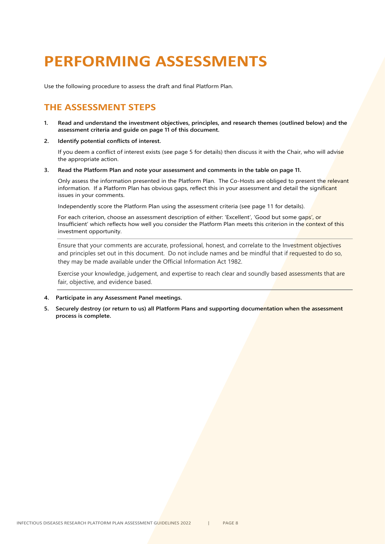# <span id="page-9-0"></span>**PERFORMING ASSESSMENTS**

<span id="page-9-1"></span>Use the following procedure to assess the draft and final Platform Plan.

## **THE ASSESSMENT STEPS**

- **1. Read and understand the investment objectives, principles, and research themes (outlined below) and the assessment criteria and guide on page 11 of this document.**
- **2. Identify potential conflicts of interest.**

If you deem a conflict of interest exists (see page 5 for details) then discuss it with the Chair, who will advise the appropriate action.

**3. Read the Platform Plan and note your assessment and comments in the table on page 11.**

Only assess the information presented in the Platform Plan. The Co-Hosts are obliged to present the relevant information. If a Platform Plan has obvious gaps, reflect this in your assessment and detail the significant issues in your comments.

Independently score the Platform Plan using the assessment criteria (see page 11 for details).

For each criterion, choose an assessment description of either: 'Excellent', 'Good but some gaps', or Insufficient' which reflects how well you consider the Platform Plan meets this criterion in the context of this investment opportunity.

Ensure that your comments are accurate, professional, honest, and correlate to the Investment objectives and principles set out in this document. Do not include names and be mindful that if requested to do so, they may be made available under the Official Information Act 1982.

Exercise your knowledge, judgement, and expertise to reach clear and soundly based assessments that are fair, objective, and evidence based.

- **4. Participate in any Assessment Panel meetings.**
- **5. Securely destroy (or return to us) all Platform Plans and supporting documentation when the assessment process is complete.**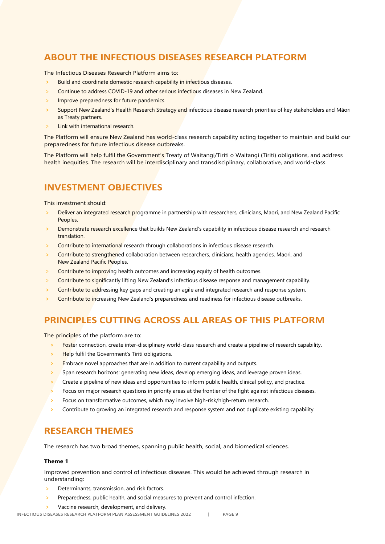## <span id="page-10-0"></span>**ABOUT THE INFECTIOUS DISEASES RESEARCH PLATFORM**

The Infectious Diseases Research Platform aims to:

- **>** Build and coordinate domestic research capability in infectious diseases.
- **>** Continue to address COVID-19 and other serious infectious diseases in New Zealand.
- **>** Improve preparedness for future pandemics.
- **>** Support New Zealand's Health Research Strategy and infectious disease research priorities of key stakeholders and Māori as Treaty partners.
- **>** Link with international research.

The Platform will ensure New Zealand has world-class research capability acting together to maintain and build our preparedness for future infectious disease outbreaks.

The Platform will help fulfil the Government's Treaty of Waitangi/Tiriti o Waitangi (Tiriti) obligations, and address health inequities. The research will be interdisciplinary and transdisciplinary, collaborative, and world-class.

## <span id="page-10-1"></span>**INVESTMENT OBJECTIVES**

This investment should:

- **>** Deliver an integrated research programme in partnership with researchers, clinicians, Māori, and New Zealand Pacific Peoples.
- **>** Demonstrate research excellence that builds New Zealand's capability in infectious disease research and research translation.
- **>** Contribute to international research through collaborations in infectious disease research.
- **>** Contribute to strengthened collaboration between researchers, clinicians, health agencies, Māori, and New Zealand Pacific Peoples.
- **>** Contribute to improving health outcomes and increasing equity of health outcomes.
- **>** Contribute to significantly lifting New Zealand's infectious disease response and management capability.
- **>** Contribute to addressing key gaps and creating an agile and integrated research and response system.
- **>** Contribute to increasing New Zealand's preparedness and readiness for infectious disease outbreaks.

## <span id="page-10-2"></span>**PRINCIPLES CUTTING ACROSS ALL AREAS OF THIS PLATFORM**

The principles of the platform are to:

- **>** Foster connection, create inter-disciplinary world-class research and create a pipeline of research capability.
- **>** Help fulfil the Government's Tiriti obligations.
- **>** Embrace novel approaches that are in addition to current capability and outputs.
- **>** Span research horizons: generating new ideas, develop emerging ideas, and leverage proven ideas.
- **>** Create a pipeline of new ideas and opportunities to inform public health, clinical policy, and practice.
- **>** Focus on major research questions in priority areas at the frontier of the fight against infectious diseases.
- **>** Focus on transformative outcomes, which may involve high-risk/high-return research.
- **>** Contribute to growing an integrated research and response system and not duplicate existing capability.

#### <span id="page-10-3"></span>**RESEARCH THEMES**

The research has two broad themes, spanning public health, social, and biomedical sciences.

#### <span id="page-10-4"></span>**Theme 1**

Improved prevention and control of infectious diseases. This would be achieved through research in understanding:

- **>** Determinants, transmission, and risk factors.
- **>** Preparedness, public health, and social measures to prevent and control infection.
- **>** Vaccine research, development, and delivery.

INFECTIOUS DISEASES RESEARCH PLATFORM PLAN ASSESSMENT GUIDELINES 2022 | PAGE 9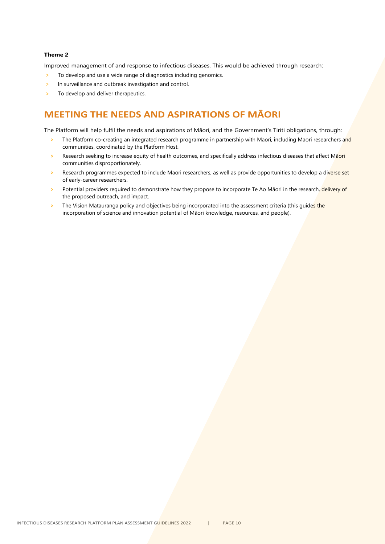#### <span id="page-11-0"></span>**Theme 2**

Improved management of and response to infectious diseases. This would be achieved through research:

- **>** To develop and use a wide range of diagnostics including genomics.
- **>** In surveillance and outbreak investigation and control.
- **>** To develop and deliver therapeutics.

## <span id="page-11-1"></span>**MEETING THE NEEDS AND ASPIRATIONS OF MĀORI**

The Platform will help fulfil the needs and aspirations of Māori, and the Government's Tiriti obligations, through:

- **>** The Platform co-creating an integrated research programme in partnership with Māori, including Māori researchers and communities, coordinated by the Platform Host.
- **>** Research seeking to increase equity of health outcomes, and specifically address infectious diseases that affect Māori communities disproportionately.
- **>** Research programmes expected to include Māori researchers, as well as provide opportunities to develop a diverse set of early-career researchers.
- **>** Potential providers required to demonstrate how they propose to incorporate Te Ao Māori in the research, delivery of the proposed outreach, and impact.
- **>** The Vision Mātauranga policy and objectives being incorporated into the assessment criteria (this guides the incorporation of science and innovation potential of Māori knowledge, resources, and people).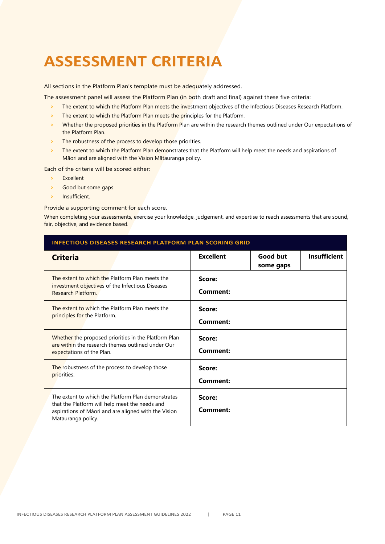# <span id="page-12-0"></span>**ASSESSMENT CRITERIA**

All sections in the Platform Plan's template must be adequately addressed.

The assessment panel will assess the Platform Plan (in both draft and final) against these five criteria:

- **>** The extent to which the Platform Plan meets the investment objectives of the Infectious Diseases Research Platform.
- **>** The extent to which the Platform Plan meets the principles for the Platform.
- **>** Whether the proposed priorities in the Platform Plan are within the research themes outlined under Our expectations of the Platform Plan.
- The robustness of the process to develop those priorities.
- **>** The extent to which the Platform Plan demonstrates that the Platform will help meet the needs and aspirations of Māori and are aligned with the Vision Mātauranga policy.

Each of the criteria will be scored either:

- **>** Excellent
- **>** Good but some gaps
- **>** Insufficient.

Provide a supporting comment for each score.

When completing your assessments, exercise your knowledge, judgement, and expertise to reach assessments that are sound, fair, objective, and evidence based.

| <b>INFECTIOUS DISEASES RESEARCH PLATFORM PLAN SCORING GRID</b>                                                                                                                     |                    |                       |                     |  |  |
|------------------------------------------------------------------------------------------------------------------------------------------------------------------------------------|--------------------|-----------------------|---------------------|--|--|
| <b>Criteria</b>                                                                                                                                                                    | <b>Excellent</b>   | Good but<br>some gaps | <b>Insufficient</b> |  |  |
| The extent to which the Platform Plan meets the<br>investment objectives of the Infectious Diseases<br>Research Platform.                                                          | Score:<br>Comment: |                       |                     |  |  |
| The extent to which the Platform Plan meets the<br>principles for the Platform.                                                                                                    | Score:<br>Comment: |                       |                     |  |  |
| Whether the proposed priorities in the Platform Plan<br>are within the research themes outlined under Our<br>expectations of the Plan.                                             | Score:<br>Comment: |                       |                     |  |  |
| The robustness of the process to develop those<br>priorities.                                                                                                                      | Score:<br>Comment: |                       |                     |  |  |
| The extent to which the Platform Plan demonstrates<br>that the Platform will help meet the needs and<br>aspirations of Māori and are aligned with the Vision<br>Mātauranga policy. | Score:<br>Comment: |                       |                     |  |  |